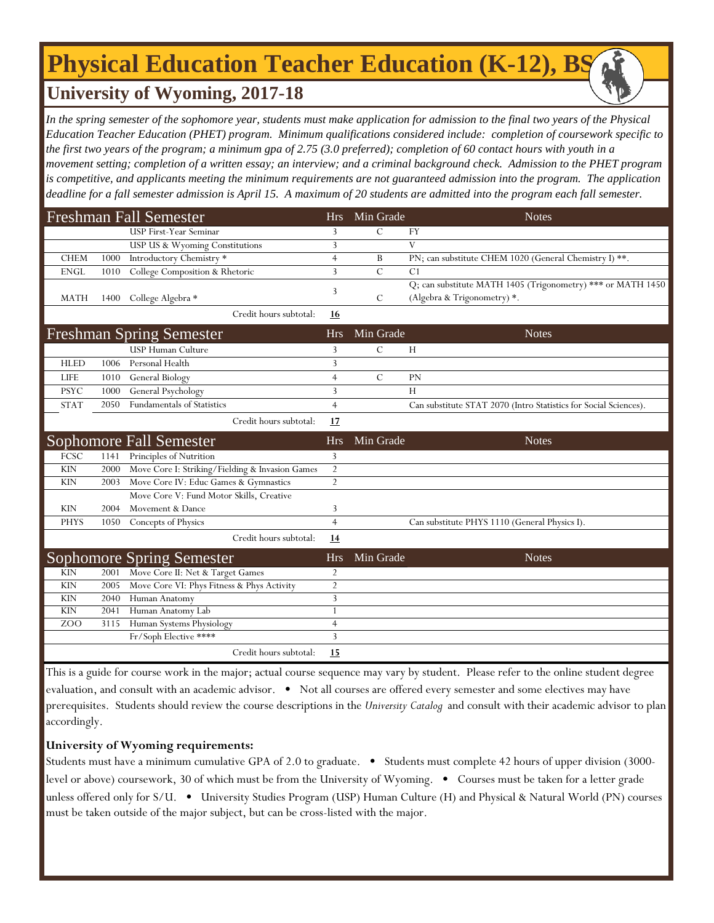# **Physical Education Teacher Education (K-12), BS**

## **University of Wyoming, 2017-18**

In the spring semester of the sophomore year, students must make application for admission to the final two years of the Physical *Education Teacher Education (PHET) program. Minimum qualifications considered include: completion of coursework specific to the first two years of the program; a minimum gpa of 2.75 (3.0 preferred); completion of 60 contact hours with youth in a movement setting; completion of a written essay; an interview; and a criminal background check. Admission to the PHET program is competitive, and applicants meeting the minimum requirements are not guaranteed admission into the program. The application deadline for a fall semester admission is April 15. A maximum of 20 students are admitted into the program each fall semester.*

| <b>Freshman Fall Semester</b> |      |                                                 | <b>Hrs</b>     | Min Grade     | <b>Notes</b>                                                     |
|-------------------------------|------|-------------------------------------------------|----------------|---------------|------------------------------------------------------------------|
|                               |      | <b>USP First-Year Seminar</b>                   | 3              | $\mathcal{C}$ | FY                                                               |
|                               |      | USP US & Wyoming Constitutions                  | 3              |               | V                                                                |
| <b>CHEM</b>                   | 1000 | Introductory Chemistry *                        | $\overline{4}$ | B             | PN; can substitute CHEM 1020 (General Chemistry I) **.           |
| <b>ENGL</b>                   | 1010 | College Composition & Rhetoric                  | 3              | $\mathcal{C}$ | C1                                                               |
|                               |      |                                                 | 3              |               | Q; can substitute MATH 1405 (Trigonometry) *** or MATH 1450      |
| <b>MATH</b>                   | 1400 | College Algebra *                               |                | $\mathcal{C}$ | (Algebra & Trigonometry) *.                                      |
|                               |      | Credit hours subtotal:                          | 16             |               |                                                                  |
|                               |      | <b>Freshman Spring Semester</b>                 | <b>Hrs</b>     | Min Grade     | <b>Notes</b>                                                     |
|                               |      | <b>USP Human Culture</b>                        | 3              | $\mathcal{C}$ | H                                                                |
| <b>HLED</b>                   | 1006 | Personal Health                                 | 3              |               |                                                                  |
| <b>LIFE</b>                   | 1010 | General Biology                                 | $\overline{4}$ | $\mathcal{C}$ | PN                                                               |
| <b>PSYC</b>                   | 1000 | General Psychology                              | 3              |               | Н                                                                |
| <b>STAT</b>                   | 2050 | <b>Fundamentals of Statistics</b>               | $\overline{4}$ |               | Can substitute STAT 2070 (Intro Statistics for Social Sciences). |
|                               |      | Credit hours subtotal:                          | 17             |               |                                                                  |
|                               |      | Sophomore Fall Semester                         | <b>Hrs</b>     | Min Grade     | <b>Notes</b>                                                     |
| <b>FCSC</b>                   | 1141 | Principles of Nutrition                         | 3              |               |                                                                  |
| <b>KIN</b>                    | 2000 | Move Core I: Striking/Fielding & Invasion Games | $\overline{2}$ |               |                                                                  |
| <b>KIN</b>                    | 2003 | Move Core IV: Educ Games & Gymnastics           | $\overline{2}$ |               |                                                                  |
|                               |      | Move Core V: Fund Motor Skills, Creative        |                |               |                                                                  |
| <b>KIN</b>                    | 2004 | Movement & Dance                                | 3              |               |                                                                  |
| <b>PHYS</b>                   | 1050 | Concepts of Physics                             | $\overline{4}$ |               | Can substitute PHYS 1110 (General Physics I).                    |
|                               |      | Credit hours subtotal:                          | 14             |               |                                                                  |
|                               |      | Sophomore Spring Semester                       | <b>Hrs</b>     | Min Grade     | <b>Notes</b>                                                     |
| <b>KIN</b>                    | 2001 | Move Core II: Net & Target Games                | $\overline{2}$ |               |                                                                  |
| <b>KIN</b>                    | 2005 | Move Core VI: Phys Fitness & Phys Activity      | $\overline{2}$ |               |                                                                  |
| <b>KIN</b>                    | 2040 | Human Anatomy                                   | 3              |               |                                                                  |
| <b>KIN</b>                    | 2041 | Human Anatomy Lab                               |                |               |                                                                  |
| ZO <sub>O</sub>               | 3115 | Human Systems Physiology                        | $\overline{4}$ |               |                                                                  |
|                               |      | Fr/Soph Elective ****                           | 3              |               |                                                                  |
|                               |      | Credit hours subtotal:                          | 15             |               |                                                                  |

This is a guide for course work in the major; actual course sequence may vary by student. Please refer to the online student degree evaluation, and consult with an academic advisor. • Not all courses are offered every semester and some electives may have prerequisites. Students should review the course descriptions in the *University Catalog* and consult with their academic advisor to plan accordingly.

### **University of Wyoming requirements:**

Students must have a minimum cumulative GPA of 2.0 to graduate. • Students must complete 42 hours of upper division (3000 level or above) coursework, 30 of which must be from the University of Wyoming. • Courses must be taken for a letter grade unless offered only for S/U. • University Studies Program (USP) Human Culture (H) and Physical & Natural World (PN) courses must be taken outside of the major subject, but can be cross-listed with the major.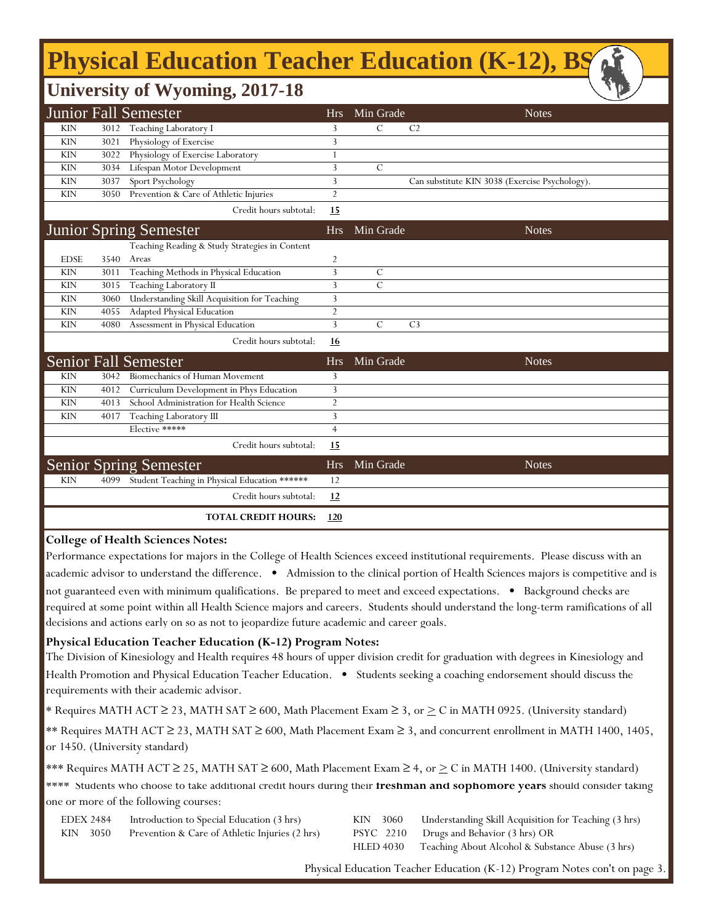## **Physical Education Teacher Education (K-12), BS**

| $\sqrt{D}$<br><b>University of Wyoming, 2017-18</b> |                                                    |                |                |                |                                                |  |
|-----------------------------------------------------|----------------------------------------------------|----------------|----------------|----------------|------------------------------------------------|--|
| Junior Fall Semester                                |                                                    | <b>Hrs</b>     | Min Grade      |                | <b>Notes</b>                                   |  |
| <b>KIN</b>                                          | 3012 Teaching Laboratory I                         | 3              | $\mathcal{C}$  | C <sub>2</sub> |                                                |  |
| <b>KIN</b><br>3021                                  | Physiology of Exercise                             | 3              |                |                |                                                |  |
| <b>KIN</b><br>3022                                  | Physiology of Exercise Laboratory                  |                |                |                |                                                |  |
| <b>KIN</b><br>3034                                  | Lifespan Motor Development                         | 3              | $\mathcal{C}$  |                |                                                |  |
| <b>KIN</b><br>3037                                  | Sport Psychology                                   | 3              |                |                | Can substitute KIN 3038 (Exercise Psychology). |  |
| <b>KIN</b><br>3050                                  | Prevention & Care of Athletic Injuries             | $\overline{2}$ |                |                |                                                |  |
|                                                     | Credit hours subtotal:                             | <u>15</u>      |                |                |                                                |  |
|                                                     | <b>Junior Spring Semester</b>                      | <b>Hrs</b>     | Min Grade      |                | <b>Notes</b>                                   |  |
|                                                     | Teaching Reading & Study Strategies in Content     |                |                |                |                                                |  |
| <b>EDSE</b><br>3540                                 | Areas                                              | $\overline{c}$ |                |                |                                                |  |
| <b>KIN</b><br>3011                                  | Teaching Methods in Physical Education             | 3              | C              |                |                                                |  |
| <b>KIN</b><br>3015                                  | Teaching Laboratory II                             | 3              | $\overline{C}$ |                |                                                |  |
| <b>KIN</b><br>3060                                  | Understanding Skill Acquisition for Teaching       | 3              |                |                |                                                |  |
| <b>KIN</b><br>4055                                  | <b>Adapted Physical Education</b>                  | $\overline{2}$ |                |                |                                                |  |
| <b>KIN</b><br>4080                                  | Assessment in Physical Education                   | 3              | $\mathcal{C}$  | C <sub>3</sub> |                                                |  |
|                                                     | Credit hours subtotal:                             | <u>16</u>      |                |                |                                                |  |
| <b>Senior Fall Semester</b>                         |                                                    | <b>Hrs</b>     | Min Grade      |                | <b>Notes</b>                                   |  |
| <b>KIN</b><br>3042                                  | Biomechanics of Human Movement                     | 3              |                |                |                                                |  |
| <b>KIN</b><br>4012                                  | Curriculum Development in Phys Education           | 3              |                |                |                                                |  |
| <b>KIN</b><br>4013                                  | School Administration for Health Science           | $\overline{2}$ |                |                |                                                |  |
| <b>KIN</b><br>4017                                  | Teaching Laboratory III                            | 3              |                |                |                                                |  |
|                                                     | Elective *****                                     | $\overline{4}$ |                |                |                                                |  |
|                                                     | Credit hours subtotal:                             | 15             |                |                |                                                |  |
|                                                     | <b>Senior Spring Semester</b>                      | <b>Hrs</b>     | Min Grade      |                | <b>Notes</b>                                   |  |
| <b>KIN</b>                                          | 4099 Student Teaching in Physical Education ****** | 12             |                |                |                                                |  |
|                                                     | Credit hours subtotal:                             | 12             |                |                |                                                |  |
|                                                     | <b>TOTAL CREDIT HOURS:</b>                         | 120            |                |                |                                                |  |

#### **College of Health Sciences Notes:**

Performance expectations for majors in the College of Health Sciences exceed institutional requirements. Please discuss with an academic advisor to understand the difference. • Admission to the clinical portion of Health Sciences majors is competitive and is not guaranteed even with minimum qualifications. Be prepared to meet and exceed expectations. • Background checks are required at some point within all Health Science majors and careers. Students should understand the long-term ramifications of all decisions and actions early on so as not to jeopardize future academic and career goals.

#### **Physical Education Teacher Education (K-12) Program Notes:**

The Division of Kinesiology and Health requires 48 hours of upper division credit for graduation with degrees in Kinesiology and Health Promotion and Physical Education Teacher Education. • Students seeking a coaching endorsement should discuss the requirements with their academic advisor.

\* Requires MATH ACT ≥ 23, MATH SAT ≥ 600, Math Placement Exam ≥ 3, or  $\geq C$  in MATH 0925. (University standard)

\*\* Requires MATH ACT ≥ 23, MATH SAT ≥ 600, Math Placement Exam ≥ 3, and concurrent enrollment in MATH 1400, 1405, or 1450. (University standard)

\*\*\* Requires MATH ACT  $\geq$  25, MATH SAT  $\geq$  600, Math Placement Exam  $\geq$  4, or  $\geq$  C in MATH 1400. (University standard)

\*\*\*\* Students who choose to take additional credit hours during their **freshman and sophomore years** should consider taking one or more of the following courses:

| EDEX 2484 | Introduction to Special Education (3 hrs)      | KIN 3060 | Understanding Skill Acquisition for Teaching (3 hrs)       |
|-----------|------------------------------------------------|----------|------------------------------------------------------------|
| KIN 3050  | Prevention & Care of Athletic Injuries (2 hrs) |          | PSYC 2210 Drugs and Behavior (3 hrs) OR                    |
|           |                                                |          | HLED 4030 Teaching About Alcohol & Substance Abuse (3 hrs) |

Physical Education Teacher Education (K-12) Program Notes con't on page 3.